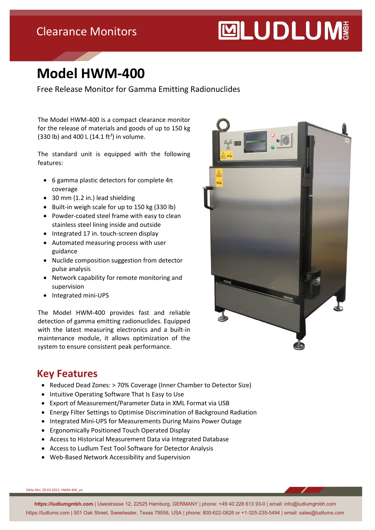## Clearance Monitors

# **MUDLUM**

# **Model HWM-400**

Free Release Monitor for Gamma Emitting Radionuclides

The Model HWM-400 is a compact clearance monitor for the release of materials and goods of up to 150 kg  $(330 \text{ lb})$  and  $400 \text{ L} (14.1 \text{ ft}^3)$  in volume.

The standard unit is equipped with the following features:

- 6 gamma plastic detectors for complete  $4\pi$ coverage
- 30 mm (1.2 in.) lead shielding
- Built-in weigh scale for up to 150 kg (330 lb)
- Powder-coated steel frame with easy to clean stainless steel lining inside and outside
- Integrated 17 in. touch-screen display
- Automated measuring process with user guidance
- Nuclide composition suggestion from detector pulse analysis
- Network capability for remote monitoring and supervision
- Integrated mini-UPS

The Model HWM-400 provides fast and reliable detection of gamma emitting radionuclides. Equipped with the latest measuring electronics and a built-in maintenance module, it allows optimization of the system to ensure consistent peak performance.



#### **Key Features**

- Reduced Dead Zones: > 70% Coverage (Inner Chamber to Detector Size)
- Intuitive Operating Software That Is Easy to Use
- Export of Measurement/Parameter Data in XML Format via USB
- Energy Filter Settings to Optimise Discrimination of Background Radiation
- Integrated Mini-UPS for Measurements During Mains Power Outage
- Ergonomically Positioned Touch Operated Display
- Access to Historical Measurement Data via Integrated Database
- Access to Ludlum Test Tool Software for Detector Analysis
- Web-Based Network Accessibility and Supervision

DMa-SKn; 29.03.2021; HWM-400\_en

**https://ludlumgmbh.com** | Uwestrasse 12, 22525 Hamburg, GERMANY | phone: +49 40 228 613 93-0 | email: info@ludlumgmbh.com https://ludlums.com | 501 Oak Street, Sweetwater, Texas 79556, USA | phone: 800-622-0828 or +1-325-235-5494 | email: sales@ludlums.com